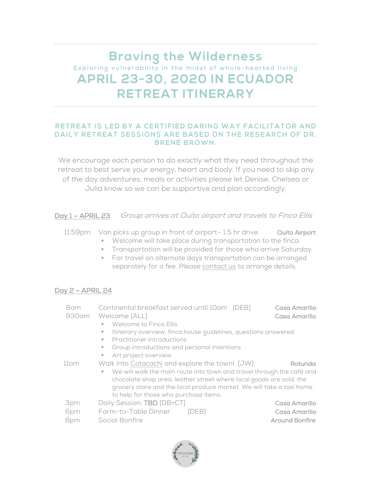# **Braving the Wilderness** Exploring vulnerability in the midst of whole-hearted living **APRIL 23-30, 2020 IN ECUADOR RETREAT ITINERARY**

#### RETREAT IS LED BY A CERTIFIED DARING WAY FACILITATOR AND DAILY RETREAT SESSIONS ARE BASED ON THE RESEARCH OF DR. **BRENÉ BROWN.**

We encourage each person to do exactly what they need throughout the retreat to best serve your energy, heart and body. If you need to skip any of the day adventures, meals or activities please let Denise, Chelsea or Julia know so we can be supportive and plan accordingly.

Day 1 – APRIL 23 Group arrives at Quito airport and travels to Finca Ellis

- 11:59pm Van picks up group in front of airport–1.5 hr drive Quito Airport
	- Welcome will take place during transportation to the finca.
	- **Transportation will be provided for those who arrive Saturday.**
	- **•** For travel on alternate days transportation can be arranged separately for a fee. Please [contact us](mailto:julia.fincaellis@gmail.com) to arrange details.

### Day 2 – APRIL 24

| 8am   | Continental breakfast served until 10am [DEB]                              | Casa Amarillo         |
|-------|----------------------------------------------------------------------------|-----------------------|
| 930am | Welcome [ALL]                                                              | Casa Amarillo         |
|       | Welcome to Finca Ellis<br>٠                                                |                       |
|       | Itinerary overview, finca house guidelines, questions answered<br>ш        |                       |
|       | Practitioner introductions<br>ж.                                           |                       |
|       | Group introductions and personal intentions<br>٠                           |                       |
|       | Art project overview<br>ш                                                  |                       |
| 11am  | Walk into Cotacachi and explore the town! [JW]                             | Rotunda               |
|       | We will walk the main route into town and travel through the café and<br>٠ |                       |
|       | chocolate shop area, leather street where local goods are sold, the        |                       |
|       | grocery store and the local produce market. We will take a taxi home       |                       |
|       | to help for those who purchase items.                                      |                       |
| 3pm   | Daily Session: TBD [DB+CT]                                                 | Casa Amarillo         |
| 6pm   | Farm-to-Table Dinner<br><b>IDEB1</b>                                       | Casa Amarillo         |
| 8pm   | Social Bonfire                                                             | <b>Around Bonfire</b> |
|       |                                                                            |                       |

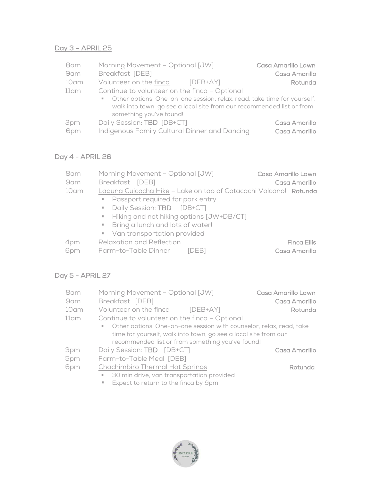## Day 3 – APRIL 25

| 8am  | Morning Movement - Optional [JW]                                          | Casa Amarillo Lawn |
|------|---------------------------------------------------------------------------|--------------------|
| 9am  | Breakfast [DEB]                                                           | Casa Amarillo      |
| 10am | Volunteer on the finca<br>[DEB+AY]                                        | Rotunda            |
| 11am | Continue to volunteer on the finca - Optional                             |                    |
|      | • Other options: One-on-one session, relax, read, take time for yourself, |                    |
|      | walk into town, go see a local site from our recommended list or from     |                    |
|      | something you've found!                                                   |                    |
| 3pm  | Daily Session: TBD [DB+CT]                                                | Casa Amarillo      |
| 6pm  | Indigenous Family Cultural Dinner and Dancing                             | Casa Amarillo      |

# Day 4 - APRIL 26

| 8am  | Morning Movement - Optional [JW]                                 | Casa Amarillo Lawn |  |
|------|------------------------------------------------------------------|--------------------|--|
| 9am  | Breakfast [DEB]                                                  | Casa Amarillo      |  |
| 10am | Laguna Cuicocha Hike - Lake on top of Cotacachi Volcano! Rotunda |                    |  |
|      | • Passport required for park entry                               |                    |  |
|      | Daily Session: TBD [DB+CT]<br>m.                                 |                    |  |
|      | Hiking and not hiking options [JW+DB/CT]                         |                    |  |
|      | • Bring a lunch and lots of water!                               |                    |  |
|      | • Van transportation provided                                    |                    |  |
| 4pm  | <b>Relaxation and Reflection</b>                                 | <b>Finca Ellis</b> |  |
| 6pm  | Farm-to-Table Dinner<br>IDEBI                                    | Casa Amarillo      |  |
|      |                                                                  |                    |  |

## Day 5 - APRIL 27

| 8am  | Morning Movement - Optional [JW]                                                                                                                                                                                                                                                                                                                                                                                                                                                           | Casa Amarillo Lawn |
|------|--------------------------------------------------------------------------------------------------------------------------------------------------------------------------------------------------------------------------------------------------------------------------------------------------------------------------------------------------------------------------------------------------------------------------------------------------------------------------------------------|--------------------|
| 9am  | Breakfast [DEB]                                                                                                                                                                                                                                                                                                                                                                                                                                                                            | Casa Amarillo      |
| 10am | Volunteer on the finca [DEB+AY]                                                                                                                                                                                                                                                                                                                                                                                                                                                            | Rotunda            |
| 11am | Continue to volunteer on the finca - Optional                                                                                                                                                                                                                                                                                                                                                                                                                                              |                    |
|      | • Other options: One-on-one session with counselor, relax, read, take                                                                                                                                                                                                                                                                                                                                                                                                                      |                    |
|      | time for yourself, walk into town, go see a local site from our                                                                                                                                                                                                                                                                                                                                                                                                                            |                    |
|      | recommended list or from something you've found!                                                                                                                                                                                                                                                                                                                                                                                                                                           |                    |
| 3pm  | Daily Session: <b>TBD</b> [DB+CT]                                                                                                                                                                                                                                                                                                                                                                                                                                                          | Casa Amarillo      |
| 5pm  | Farm-to-Table Meal [DEB]                                                                                                                                                                                                                                                                                                                                                                                                                                                                   |                    |
| 6pm  | <b>Chachimbiro Thermal Hot Springs</b>                                                                                                                                                                                                                                                                                                                                                                                                                                                     | Rotunda            |
|      | 30 min drive, van transportation provided<br>ш                                                                                                                                                                                                                                                                                                                                                                                                                                             |                    |
|      | $\blacksquare$ $\blacksquare$ $\blacksquare$ $\blacksquare$ $\blacksquare$ $\blacksquare$ $\blacksquare$ $\blacksquare$ $\blacksquare$ $\blacksquare$ $\blacksquare$ $\blacksquare$ $\blacksquare$ $\blacksquare$ $\blacksquare$ $\blacksquare$ $\blacksquare$ $\blacksquare$ $\blacksquare$ $\blacksquare$ $\blacksquare$ $\blacksquare$ $\blacksquare$ $\blacksquare$ $\blacksquare$ $\blacksquare$ $\blacksquare$ $\blacksquare$ $\blacksquare$ $\blacksquare$ $\blacksquare$ $\blacks$ |                    |

■ Expect to return to the finca by 9pm